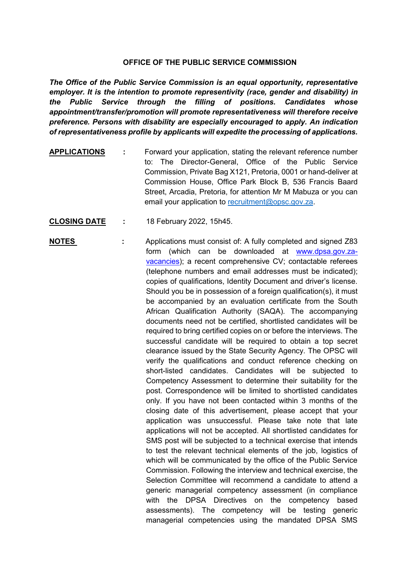## **OFFICE OF THE PUBLIC SERVICE COMMISSION**

*The Office of the Public Service Commission is an equal opportunity, representative employer. It is the intention to promote representivity (race, gender and disability) in the Public Service through the filling of positions. Candidates whose appointment/transfer/promotion will promote representativeness will therefore receive preference. Persons with disability are especially encouraged to apply. An indication of representativeness profile by applicants will expedite the processing of applications.*

- **APPLICATIONS :** Forward your application, stating the relevant reference number to: The Director-General, Office of the Public Service Commission, Private Bag X121, Pretoria, 0001 or hand-deliver at Commission House, Office Park Block B, 536 Francis Baard Street, Arcadia, Pretoria, for attention Mr M Mabuza or you can email your application to [recruitment@opsc.gov.za.](mailto:recruitment@opsc.gov.za)
- **CLOSING DATE :** 18 February 2022, 15h45.
- **NOTES** : Applications must consist of: A fully completed and signed Z83 form (which can be downloaded at [www.dpsa.gov.za](http://www.dpsa.gov.za-vacancies/)[vacancies\)](http://www.dpsa.gov.za-vacancies/); a recent comprehensive CV; contactable referees (telephone numbers and email addresses must be indicated); copies of qualifications, Identity Document and driver's license. Should you be in possession of a foreign qualification(s), it must be accompanied by an evaluation certificate from the South African Qualification Authority (SAQA). The accompanying documents need not be certified, shortlisted candidates will be required to bring certified copies on or before the interviews. The successful candidate will be required to obtain a top secret clearance issued by the State Security Agency. The OPSC will verify the qualifications and conduct reference checking on short-listed candidates. Candidates will be subjected to Competency Assessment to determine their suitability for the post. Correspondence will be limited to shortlisted candidates only. If you have not been contacted within 3 months of the closing date of this advertisement, please accept that your application was unsuccessful. Please take note that late applications will not be accepted. All shortlisted candidates for SMS post will be subjected to a technical exercise that intends to test the relevant technical elements of the job, logistics of which will be communicated by the office of the Public Service Commission. Following the interview and technical exercise, the Selection Committee will recommend a candidate to attend a generic managerial competency assessment (in compliance with the DPSA Directives on the competency based assessments). The competency will be testing generic managerial competencies using the mandated DPSA SMS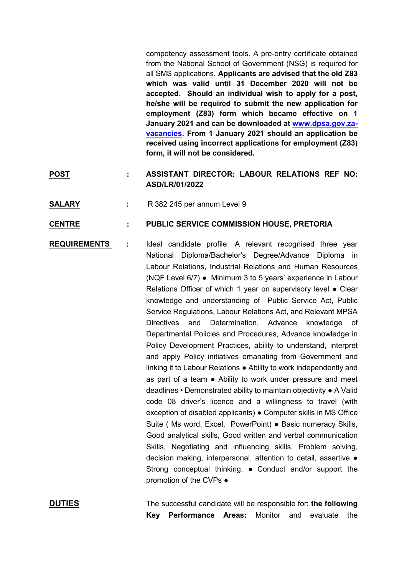competency assessment tools. A pre-entry certificate obtained from the National School of Government (NSG) is required for all SMS applications. **Applicants are advised that the old Z83 which was valid until 31 December 2020 will not be accepted. Should an individual wish to apply for a post, he/she will be required to submit the new application for employment (Z83) form which became effective on 1 January 2021 and can be downloaded at [www.dpsa.gov.za](http://www.dpsa.gov.za-vacancies/)[vacancies.](http://www.dpsa.gov.za-vacancies/) From 1 January 2021 should an application be received using incorrect applications for employment (Z83) form, it will not be considered.**

- **POST : ASSISTANT DIRECTOR: LABOUR RELATIONS REF NO: ASD/LR/01/2022**
- **SALARY :** R 382 245 per annum Level 9

## **CENTRE : PUBLIC SERVICE COMMISSION HOUSE, PRETORIA**

**REQUIREMENTS :** Ideal candidate profile: A relevant recognised three year National Diploma/Bachelor's Degree/Advance Diploma in Labour Relations, Industrial Relations and Human Resources (NQF Level 6/7) ● Minimum 3 to 5 years' experience in Labour Relations Officer of which 1 year on supervisory level ● Clear knowledge and understanding of Public Service Act, Public Service Regulations, Labour Relations Act, and Relevant MPSA Directives and Determination, Advance knowledge of Departmental Policies and Procedures, Advance knowledge in Policy Development Practices, ability to understand, interpret and apply Policy initiatives emanating from Government and linking it to Labour Relations ● Ability to work independently and as part of a team ● Ability to work under pressure and meet deadlines • Demonstrated ability to maintain objectivity ● A Valid code 08 driver's licence and a willingness to travel (with exception of disabled applicants) ● Computer skills in MS Office Suite ( Ms word, Excel, PowerPoint) ● Basic numeracy Skills, Good analytical skills, Good written and verbal communication Skills, Negotiating and influencing skills, Problem solving, decision making, interpersonal, attention to detail, assertive ● Strong conceptual thinking, ● Conduct and/or support the promotion of the CVPs ●

**DUTIES** The successful candidate will be responsible for: **the following Key Performance Areas:** Monitor and evaluate the